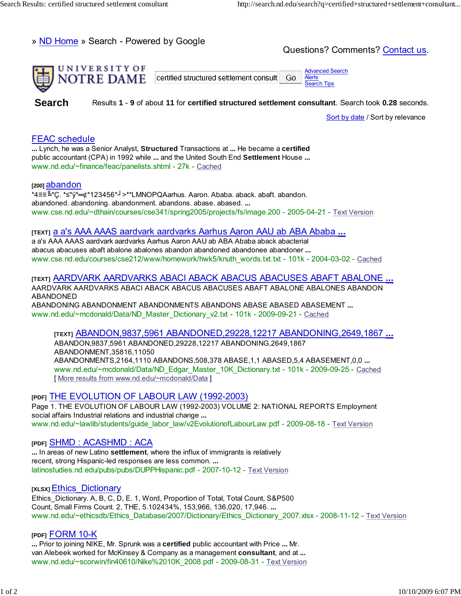» ND Home » Search - Powered by Google

Questions? Comments? Contact us.



**Search** Results **1** - **9** of about **11** for **certified structured settlement consultant**. Search took **0.28** seconds.

Sort by date / Sort by relevance

# FEAC schedule

**...** Lynch, he was a Senior Analyst, **Structured** Transactions at **...** He became a **certified** public accountant (CPA) in 1992 while **...** and the United South End **Settlement** House **...** www.nd.edu/~finance/feac/panelists.shtml - 27k - Cached

#### **[200]** abandon

\*4≡≡╚\*Ç. \*≤\*ÿ\*=¢\*123456\*┘>\*\*LMNOPQAarhus. Aaron. Ababa. aback. abaft. abandon. abandoned. abandoning. abandonment. abandons. abase. abased. **...** www.cse.nd.edu/~dthain/courses/cse341/spring2005/projects/fs/image.200 - 2005-04-21 - Text Version

## **[TEXT]** a a's AAA AAAS aardvark aardvarks Aarhus Aaron AAU ab ABA Ababa **...**

a a's AAA AAAS aardvark aardvarks Aarhus Aaron AAU ab ABA Ababa aback abacterial abacus abacuses abaft abalone abalones abandon abandoned abandonee abandoner **...** www.cse.nd.edu/courses/cse212/www/homework/hwk5/knuth\_words.txt.txt - 101k - 2004-03-02 - Cached

### **[TEXT]** AARDVARK AARDVARKS ABACI ABACK ABACUS ABACUSES ABAFT ABALONE **...**

AARDVARK AARDVARKS ABACI ABACK ABACUS ABACUSES ABAFT ABALONE ABALONES ABANDON ABANDONED ABANDONING ABANDONMENT ABANDONMENTS ABANDONS ABASE ABASED ABASEMENT **...**

www.nd.edu/~mcdonald/Data/ND\_Master\_Dictionary\_v2.txt - 101k - 2009-09-21 - Cached

#### **[TEXT]** ABANDON,9837,5961 ABANDONED,29228,12217 ABANDONING,2649,1867 **...**

ABANDON,9837,5961 ABANDONED,29228,12217 ABANDONING,2649,1867 ABANDONMENT,35816,11050 ABANDONMENTS,2164,1110 ABANDONS,508,378 ABASE,1,1 ABASED,5,4 ABASEMENT,0,0 **...** www.nd.edu/~mcdonald/Data/ND\_Edgar\_Master\_10K\_Dictionary.txt - 101k - 2009-09-25 - Cached [ More results from www.nd.edu/~mcdonald/Data ]

#### **[PDF]** THE EVOLUTION OF LABOUR LAW (1992-2003)

Page 1. THE EVOLUTION OF LABOUR LAW (1992-2003) VOLUME 2: NATIONAL REPORTS Employment social affairs Industrial relations and industrial change **...** www.nd.edu/~lawlib/students/guide\_labor\_law/v2EvolutionofLabourLaw.pdf - 2009-08-18 - Text Version

#### **[PDF]** SHMD : ACASHMD : ACA

**...** In areas of new Latino **settlement**, where the influx of immigrants is relatively recent, strong Hispanic-led responses are less common. **...** latinostudies.nd.edu/pubs/pubs/DUPPHispanic.pdf - 2007-10-12 - Text Version

#### **[XLSX]** Ethics\_Dictionary

Ethics Dictionary. A, B, C, D, E. 1, Word, Proportion of Total, Total Count, S&P500 Count, Small Firms Count. 2, THE, 5.102434%, 153,966, 136,020, 17,946. **...** www.nd.edu/~ethicsdb/Ethics\_Database/2007/Dictionary/Ethics\_Dictionary\_2007.xlsx - 2008-11-12 - Text Version

#### **[PDF]** FORM 10-K

**...** Prior to joining NIKE, Mr. Sprunk was a **certified** public accountant with Price **...** Mr. van Alebeek worked for McKinsey & Company as a management **consultant**, and at **...** www.nd.edu/~scorwin/fin40610/Nike%2010K\_2008.pdf - 2009-08-31 - Text Version